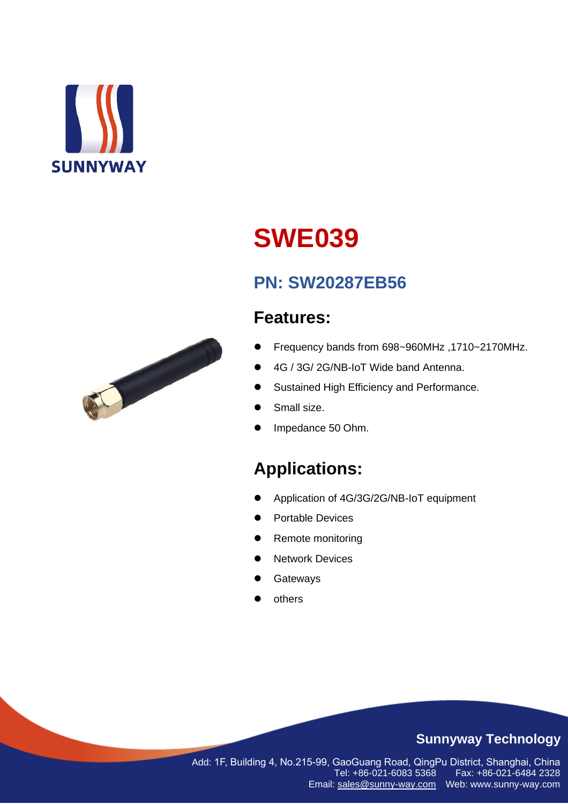

# **SWE039**

# **PN: SW20287EB56**

## **Features:**

- ⚫ Frequency bands from 698~960MHz ,1710~2170MHz.
- ⚫ 4G / 3G/ 2G/NB-IoT Wide band Antenna.
- ⚫ Sustained High Efficiency and Performance.
- Small size.
- ⚫ Impedance 50 Ohm.

# **Applications:**

- ⚫ Application of 4G/3G/2G/NB-IoT equipment
- ⚫ Portable Devices
- ⚫ Remote monitoring
- Network Devices
- **Gateways**
- **others**

### **Sunnyway Technology**

Add: 1F, Building 4, No.215-99, GaoGuang Road, QingPu District, Shanghai, China Tel: +86-021-6083 5368 Email: [sales@sunny-way.com](mailto:sales@sunny-way.com) Web: www.sunny-way.com

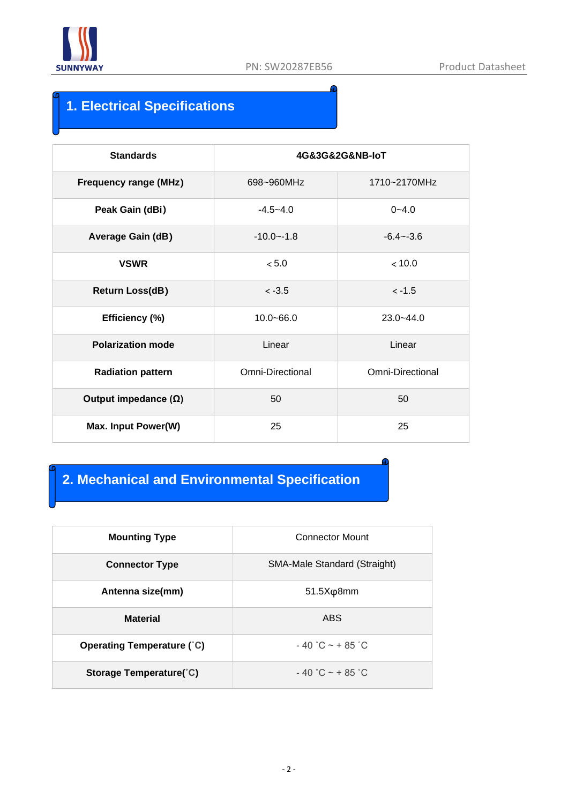

Ω

### **1. Electrical Specifications**

| <b>Standards</b>             | 4G&3G&2G&NB-loT  |                         |  |  |
|------------------------------|------------------|-------------------------|--|--|
| <b>Frequency range (MHz)</b> | 698~960MHz       | 1710~2170MHz            |  |  |
| Peak Gain (dBi)              | $-4.5 - 4.0$     | $0 - 4.0$               |  |  |
| <b>Average Gain (dB)</b>     | $-10.0 - -1.8$   | $-6.4 - -3.6$           |  |  |
| <b>VSWR</b>                  | $< 5.0$          | < 10.0                  |  |  |
| <b>Return Loss(dB)</b>       | $< -3.5$         | $< -1.5$                |  |  |
| Efficiency (%)               | $10.0 - 66.0$    | $23.0 - 44.0$           |  |  |
| <b>Polarization mode</b>     | Linear           | Linear                  |  |  |
| <b>Radiation pattern</b>     | Omni-Directional | <b>Omni-Directional</b> |  |  |
| Output impedance $(\Omega)$  | 50               | 50                      |  |  |
| Max. Input Power(W)          | 25               | 25                      |  |  |

### **2. Mechanical and Environmental Specification**

| <b>Mounting Type</b>              | <b>Connector Mount</b>       |  |  |
|-----------------------------------|------------------------------|--|--|
| <b>Connector Type</b>             | SMA-Male Standard (Straight) |  |  |
| Antenna size(mm)                  | $51.5X\varphi8mm$            |  |  |
| <b>Material</b>                   | <b>ABS</b>                   |  |  |
| <b>Operating Temperature (°C)</b> | $-40$ °C $\sim$ + 85 °C      |  |  |
| Storage Temperature(°C)           | $-40$ °C $\sim$ + 85 °C      |  |  |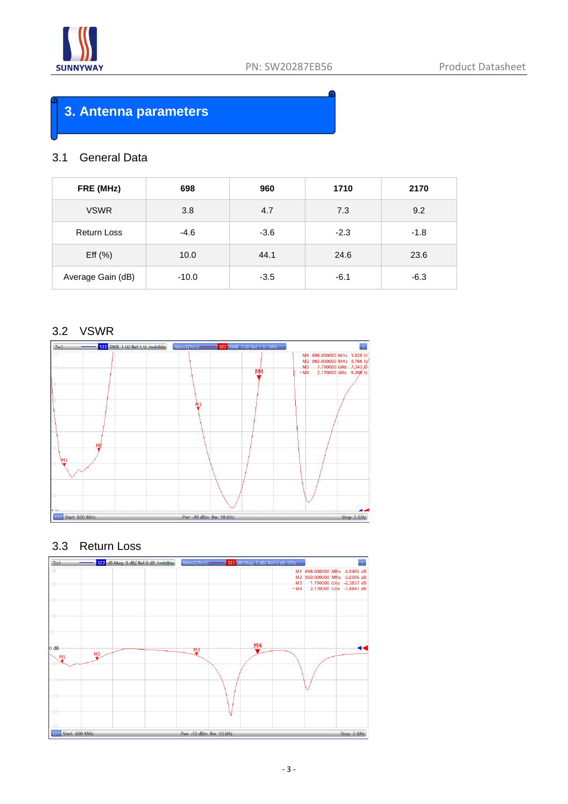

### **3. Antenna parameters**

#### 3.1 General Data

| FRE (MHz)          | 698     | 960    | 1710   | 2170   |
|--------------------|---------|--------|--------|--------|
| <b>VSWR</b>        | 3.8     | 4.7    | 7.3    | 9.2    |
| <b>Return Loss</b> | $-4.6$  | $-3.6$ | $-2.3$ | $-1.8$ |
| Eff $(\% )$        | 10.0    | 44.1   | 24.6   | 23.6   |
| Average Gain (dB)  | $-10.0$ | $-3.5$ | $-6.1$ | $-6.3$ |

#### 3.2 VSWR



#### 3.3 Return Loss

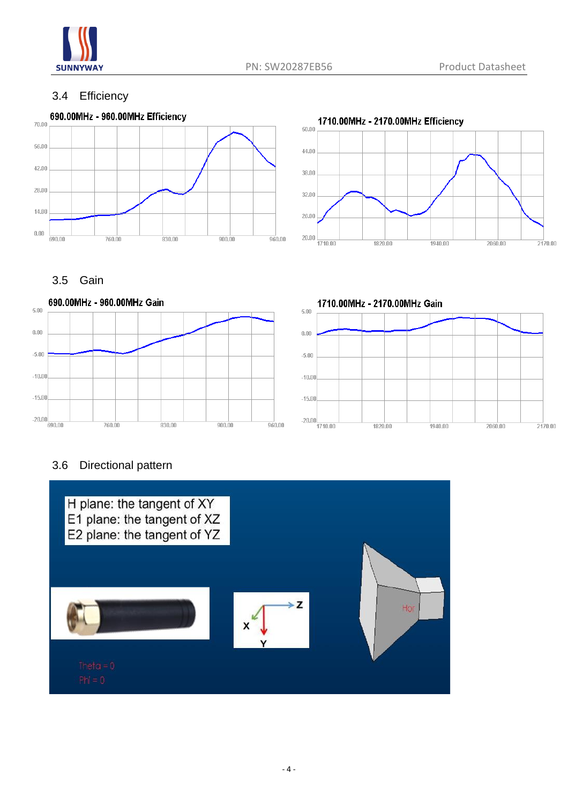

#### 3.4 Efficiency





### 3.5 Gain



#### 3.6 Directional pattern

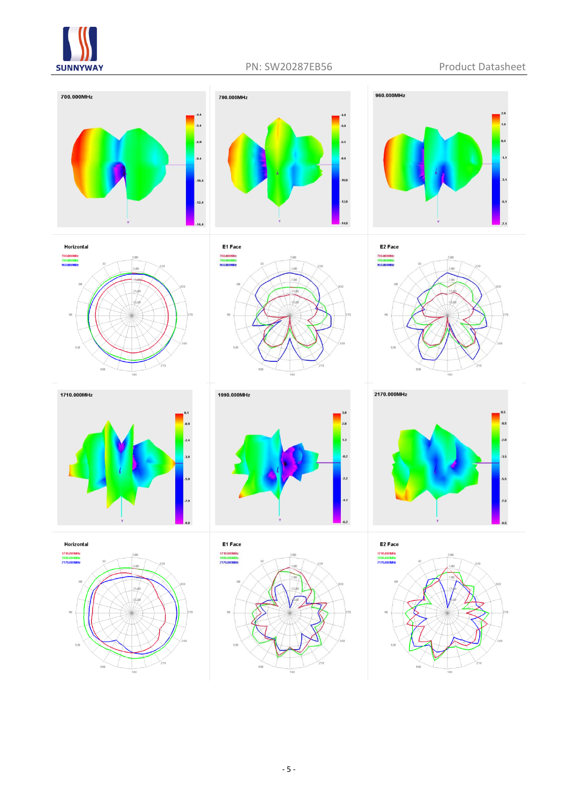